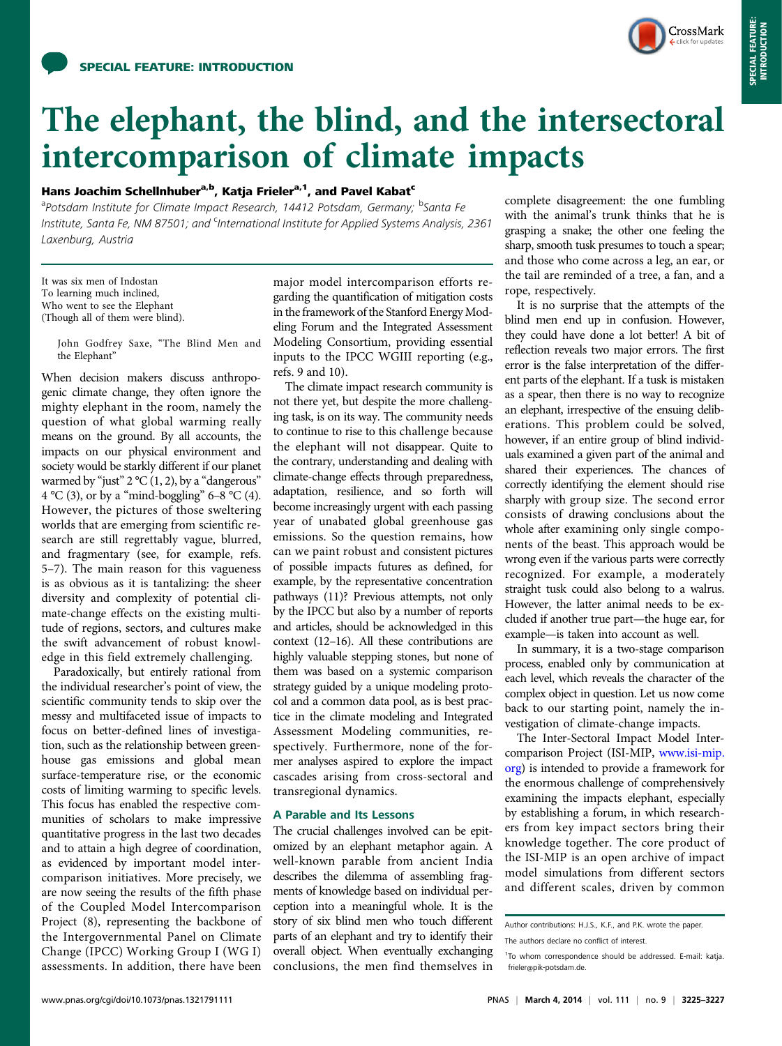

# The elephant, the blind, and the intersectoral intercomparison of climate impacts

## Hans Joachim Schellnhuber<sup>a,b</sup>, Katja Frieler<sup>a,1</sup>, and Pavel Kabat<sup>c</sup>

<sup>a</sup>Potsdam Institute for Climate Impact Research, 14412 Potsdam, Germany; <sup>b</sup>Santa Fe Institute, Santa Fe, NM 87501; and <sup>c</sup>International Institute for Applied Systems Analysis, 2361 Laxenburg, Austria

It was six men of Indostan To learning much inclined, Who went to see the Elephant (Though all of them were blind).

> John Godfrey Saxe, "The Blind Men and the Elephant"

When decision makers discuss anthropogenic climate change, they often ignore the mighty elephant in the room, namely the question of what global warming really means on the ground. By all accounts, the impacts on our physical environment and society would be starkly different if our planet warmed by "just"  $2$  °C (1, 2), by a "dangerous" 4 °C (3), or by a "mind-boggling" 6-8 °C (4). However, the pictures of those sweltering worlds that are emerging from scientific research are still regrettably vague, blurred, and fragmentary (see, for example, refs. 5–7). The main reason for this vagueness is as obvious as it is tantalizing: the sheer diversity and complexity of potential climate-change effects on the existing multitude of regions, sectors, and cultures make the swift advancement of robust knowledge in this field extremely challenging.

Paradoxically, but entirely rational from the individual researcher's point of view, the scientific community tends to skip over the messy and multifaceted issue of impacts to focus on better-defined lines of investigation, such as the relationship between greenhouse gas emissions and global mean surface-temperature rise, or the economic costs of limiting warming to specific levels. This focus has enabled the respective communities of scholars to make impressive quantitative progress in the last two decades and to attain a high degree of coordination, as evidenced by important model intercomparison initiatives. More precisely, we are now seeing the results of the fifth phase of the Coupled Model Intercomparison Project (8), representing the backbone of the Intergovernmental Panel on Climate Change (IPCC) Working Group I (WG I) assessments. In addition, there have been

major model intercomparison efforts regarding the quantification of mitigation costs in the framework of the Stanford Energy Modeling Forum and the Integrated Assessment Modeling Consortium, providing essential inputs to the IPCC WGIII reporting (e.g., refs. 9 and 10).

The climate impact research community is not there yet, but despite the more challenging task, is on its way. The community needs to continue to rise to this challenge because the elephant will not disappear. Quite to the contrary, understanding and dealing with climate-change effects through preparedness, adaptation, resilience, and so forth will become increasingly urgent with each passing year of unabated global greenhouse gas emissions. So the question remains, how can we paint robust and consistent pictures of possible impacts futures as defined, for example, by the representative concentration pathways (11)? Previous attempts, not only by the IPCC but also by a number of reports and articles, should be acknowledged in this context (12–16). All these contributions are highly valuable stepping stones, but none of them was based on a systemic comparison strategy guided by a unique modeling protocol and a common data pool, as is best practice in the climate modeling and Integrated Assessment Modeling communities, respectively. Furthermore, none of the former analyses aspired to explore the impact cascades arising from cross-sectoral and transregional dynamics.

#### A Parable and Its Lessons

The crucial challenges involved can be epitomized by an elephant metaphor again. A well-known parable from ancient India describes the dilemma of assembling fragments of knowledge based on individual perception into a meaningful whole. It is the story of six blind men who touch different parts of an elephant and try to identify their overall object. When eventually exchanging conclusions, the men find themselves in

complete disagreement: the one fumbling with the animal's trunk thinks that he is grasping a snake; the other one feeling the sharp, smooth tusk presumes to touch a spear; and those who come across a leg, an ear, or the tail are reminded of a tree, a fan, and a rope, respectively.

It is no surprise that the attempts of the blind men end up in confusion. However, they could have done a lot better! A bit of reflection reveals two major errors. The first error is the false interpretation of the different parts of the elephant. If a tusk is mistaken as a spear, then there is no way to recognize an elephant, irrespective of the ensuing deliberations. This problem could be solved, however, if an entire group of blind individuals examined a given part of the animal and shared their experiences. The chances of correctly identifying the element should rise sharply with group size. The second error consists of drawing conclusions about the whole after examining only single components of the beast. This approach would be wrong even if the various parts were correctly recognized. For example, a moderately straight tusk could also belong to a walrus. However, the latter animal needs to be excluded if another true part—the huge ear, for example—is taken into account as well.

In summary, it is a two-stage comparison process, enabled only by communication at each level, which reveals the character of the complex object in question. Let us now come back to our starting point, namely the investigation of climate-change impacts.

The Inter-Sectoral Impact Model Intercomparison Project (ISI-MIP, [www.isi-mip.](http://www.isi-mip.org) [org\)](http://www.isi-mip.org) is intended to provide a framework for the enormous challenge of comprehensively examining the impacts elephant, especially by establishing a forum, in which researchers from key impact sectors bring their knowledge together. The core product of the ISI-MIP is an open archive of impact model simulations from different sectors and different scales, driven by common

Author contributions: H.J.S., K.F., and P.K. wrote the paper.

The authors declare no conflict of interest.

<sup>&</sup>lt;sup>1</sup>To whom correspondence should be addressed. E-mail: [katja.](mailto:katja.frieler@pik-potsdam.de) [frieler@pik-potsdam.de](mailto:katja.frieler@pik-potsdam.de).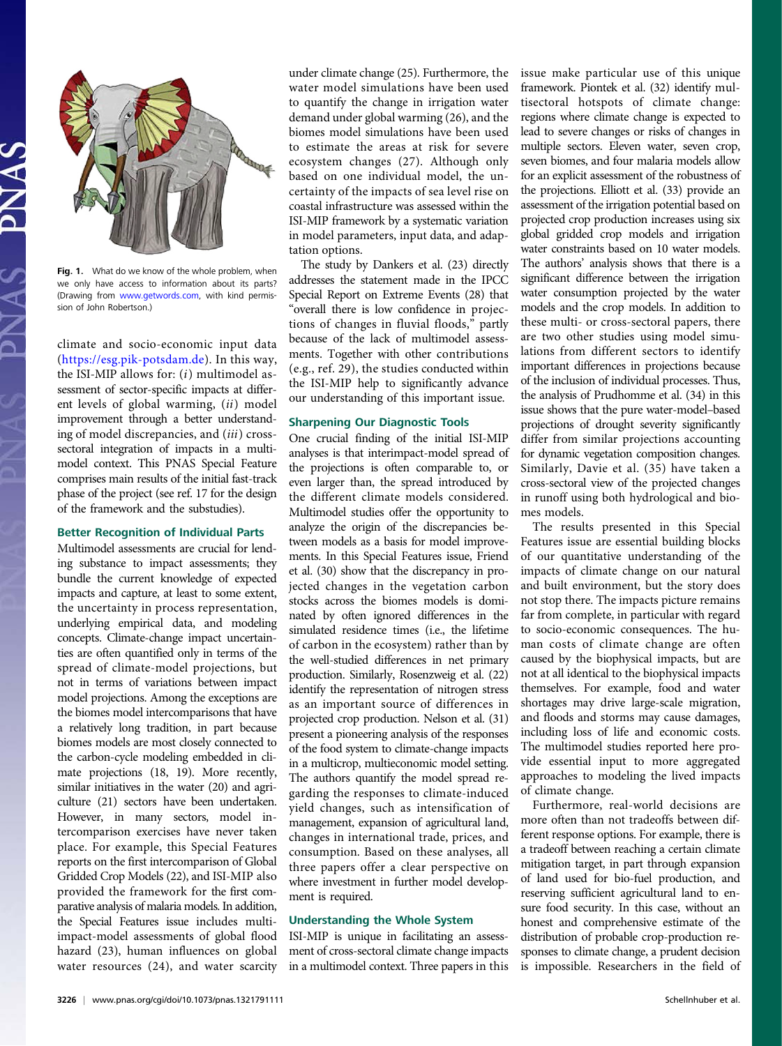

Fig. 1. What do we know of the whole problem, when we only have access to information about its parts? (Drawing from [www.getwords.com,](http://www.getwords.com) with kind permission of John Robertson.)

climate and socio-economic input data [\(https://esg.pik-potsdam.de\)](https://esg.pik-potsdam.de). In this way, the ISI-MIP allows for:  $(i)$  multimodel assessment of sector-specific impacts at different levels of global warming, *(ii)* model improvement through a better understanding of model discrepancies, and (iii) crosssectoral integration of impacts in a multimodel context. This PNAS Special Feature comprises main results of the initial fast-track phase of the project (see ref. 17 for the design of the framework and the substudies).

#### Better Recognition of Individual Parts

Multimodel assessments are crucial for lending substance to impact assessments; they bundle the current knowledge of expected impacts and capture, at least to some extent, the uncertainty in process representation, underlying empirical data, and modeling concepts. Climate-change impact uncertainties are often quantified only in terms of the spread of climate-model projections, but not in terms of variations between impact model projections. Among the exceptions are the biomes model intercomparisons that have a relatively long tradition, in part because biomes models are most closely connected to the carbon-cycle modeling embedded in climate projections (18, 19). More recently, similar initiatives in the water (20) and agriculture (21) sectors have been undertaken. However, in many sectors, model intercomparison exercises have never taken place. For example, this Special Features reports on the first intercomparison of Global Gridded Crop Models (22), and ISI-MIP also provided the framework for the first comparative analysis of malaria models. In addition, the Special Features issue includes multiimpact-model assessments of global flood hazard (23), human influences on global water resources (24), and water scarcity

under climate change (25). Furthermore, the water model simulations have been used to quantify the change in irrigation water demand under global warming (26), and the biomes model simulations have been used to estimate the areas at risk for severe ecosystem changes (27). Although only based on one individual model, the uncertainty of the impacts of sea level rise on coastal infrastructure was assessed within the ISI-MIP framework by a systematic variation in model parameters, input data, and adaptation options.

The study by Dankers et al. (23) directly addresses the statement made in the IPCC Special Report on Extreme Events (28) that "overall there is low confidence in projections of changes in fluvial floods," partly because of the lack of multimodel assessments. Together with other contributions (e.g., ref. 29), the studies conducted within the ISI-MIP help to significantly advance our understanding of this important issue.

## Sharpening Our Diagnostic Tools

One crucial finding of the initial ISI-MIP analyses is that interimpact-model spread of the projections is often comparable to, or even larger than, the spread introduced by the different climate models considered. Multimodel studies offer the opportunity to analyze the origin of the discrepancies between models as a basis for model improvements. In this Special Features issue, Friend et al. (30) show that the discrepancy in projected changes in the vegetation carbon stocks across the biomes models is dominated by often ignored differences in the simulated residence times (i.e., the lifetime of carbon in the ecosystem) rather than by the well-studied differences in net primary production. Similarly, Rosenzweig et al. (22) identify the representation of nitrogen stress as an important source of differences in projected crop production. Nelson et al. (31) present a pioneering analysis of the responses of the food system to climate-change impacts in a multicrop, multieconomic model setting. The authors quantify the model spread regarding the responses to climate-induced yield changes, such as intensification of management, expansion of agricultural land, changes in international trade, prices, and consumption. Based on these analyses, all three papers offer a clear perspective on where investment in further model development is required.

## Understanding the Whole System

ISI-MIP is unique in facilitating an assessment of cross-sectoral climate change impacts in a multimodel context. Three papers in this issue make particular use of this unique framework. Piontek et al. (32) identify multisectoral hotspots of climate change: regions where climate change is expected to lead to severe changes or risks of changes in multiple sectors. Eleven water, seven crop, seven biomes, and four malaria models allow for an explicit assessment of the robustness of the projections. Elliott et al. (33) provide an assessment of the irrigation potential based on projected crop production increases using six global gridded crop models and irrigation water constraints based on 10 water models. The authors' analysis shows that there is a significant difference between the irrigation water consumption projected by the water models and the crop models. In addition to these multi- or cross-sectoral papers, there are two other studies using model simulations from different sectors to identify important differences in projections because of the inclusion of individual processes. Thus, the analysis of Prudhomme et al. (34) in this issue shows that the pure water-model–based projections of drought severity significantly differ from similar projections accounting for dynamic vegetation composition changes. Similarly, Davie et al. (35) have taken a cross-sectoral view of the projected changes in runoff using both hydrological and biomes models.

The results presented in this Special Features issue are essential building blocks of our quantitative understanding of the impacts of climate change on our natural and built environment, but the story does not stop there. The impacts picture remains far from complete, in particular with regard to socio-economic consequences. The human costs of climate change are often caused by the biophysical impacts, but are not at all identical to the biophysical impacts themselves. For example, food and water shortages may drive large-scale migration, and floods and storms may cause damages, including loss of life and economic costs. The multimodel studies reported here provide essential input to more aggregated approaches to modeling the lived impacts of climate change.

Furthermore, real-world decisions are more often than not tradeoffs between different response options. For example, there is a tradeoff between reaching a certain climate mitigation target, in part through expansion of land used for bio-fuel production, and reserving sufficient agricultural land to ensure food security. In this case, without an honest and comprehensive estimate of the distribution of probable crop-production responses to climate change, a prudent decision is impossible. Researchers in the field of